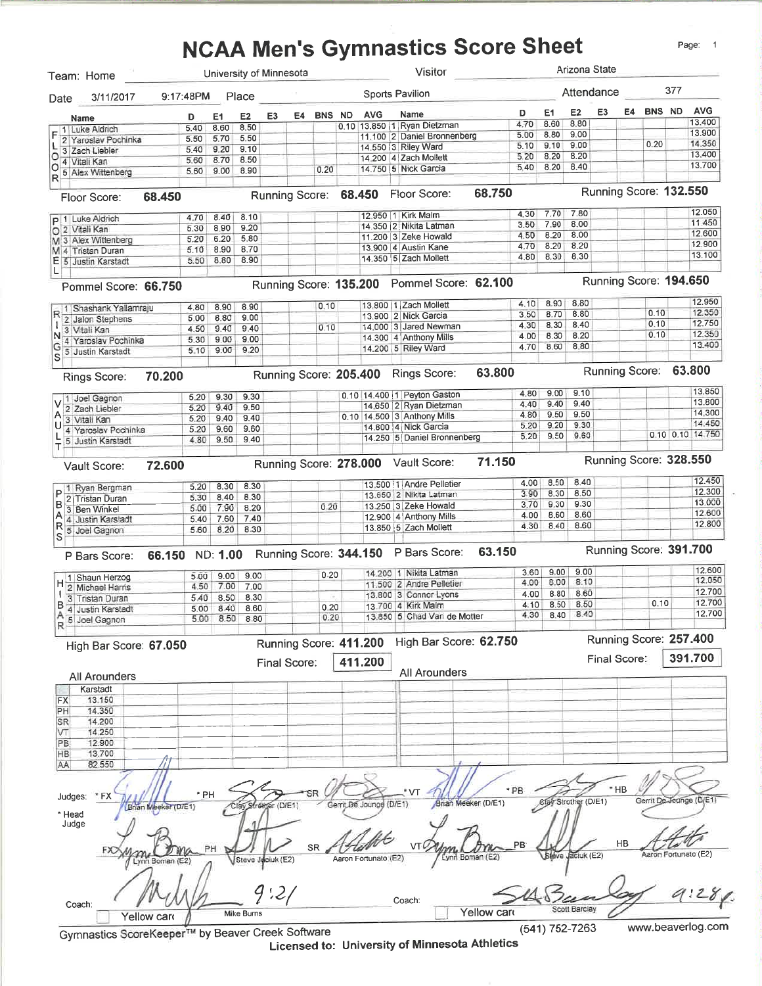# **NCAA Men's Gymnastics Score Sheet**

| 3/11/2017<br>Date<br><b>Name</b><br>1 Luke Aldrich<br>2 Yaroslav Pochinka<br>3 Zach Liebler<br>O<br>4 Vitali Kan<br>$\circ$<br>5 Alex Wittenberg<br>Floor Score:<br>p 1 Luke Aldrich<br>O 2 Vitali Kan<br>M 3 Alex Wittenberg<br>M 4 Tristan Duran<br>E 5 Justin Karstadt<br>L<br>Pommel Score: 66.750<br>Shashank Yallamraju<br>2 Jalon Stephens<br>3 Vitali Kan<br>N<br>4 Yaroslav Pochinka<br>G<br>5 Justin Karstadt<br>S<br>Rings Score: | 9:17:48PM Place<br>D<br>5.40<br>5.50<br>5.40<br>5.60<br>5.60<br>68.450<br>4.70<br>5.30<br>5.20<br>5.10<br>5.50 | E1<br>8.60<br>5.70<br>9.20<br>8.70<br>9.00<br>8.40<br>8.90 | E <sub>2</sub><br>8.50<br>5.50<br>9.10<br>8.50<br>8.90 | E3<br>E4               |    | <b>BNS ND</b> |                         | <b>AVG</b> | Sports Pavilion<br>Name<br>0.10 13.850 1 Ryan Dietzman | D<br>4.70       | E1<br>8.60           | E2<br>8.80    | Attendance<br>E3       | E4 BNS ND | 377                    | <b>AVG</b>       |
|----------------------------------------------------------------------------------------------------------------------------------------------------------------------------------------------------------------------------------------------------------------------------------------------------------------------------------------------------------------------------------------------------------------------------------------------|----------------------------------------------------------------------------------------------------------------|------------------------------------------------------------|--------------------------------------------------------|------------------------|----|---------------|-------------------------|------------|--------------------------------------------------------|-----------------|----------------------|---------------|------------------------|-----------|------------------------|------------------|
|                                                                                                                                                                                                                                                                                                                                                                                                                                              |                                                                                                                |                                                            |                                                        |                        |    |               |                         |            |                                                        |                 |                      |               |                        |           |                        |                  |
|                                                                                                                                                                                                                                                                                                                                                                                                                                              |                                                                                                                |                                                            |                                                        |                        |    |               |                         |            |                                                        |                 |                      |               |                        |           |                        |                  |
|                                                                                                                                                                                                                                                                                                                                                                                                                                              |                                                                                                                |                                                            |                                                        |                        |    |               |                         |            |                                                        |                 |                      |               |                        |           |                        | 13.400           |
|                                                                                                                                                                                                                                                                                                                                                                                                                                              |                                                                                                                |                                                            |                                                        |                        |    |               |                         |            | 11.100 2 Daniel Bronnenberg                            | 5.00            | 8.80                 | 9.00          |                        |           |                        | 13.900           |
|                                                                                                                                                                                                                                                                                                                                                                                                                                              |                                                                                                                |                                                            |                                                        |                        |    |               |                         |            | 14.550 3 Riley Ward                                    | 5.10            | 9.10                 | 9.00          |                        | 0.20      |                        | 14.350           |
|                                                                                                                                                                                                                                                                                                                                                                                                                                              |                                                                                                                |                                                            |                                                        |                        |    |               |                         |            | 14,200 4 Zach Mollett                                  | 5.20            | 8.20                 | 8.20          |                        |           |                        | 13.400<br>13.700 |
|                                                                                                                                                                                                                                                                                                                                                                                                                                              |                                                                                                                |                                                            |                                                        |                        |    | 0.20          |                         |            | 14.750   5   Nick Garcia                               | 5.40            | 8.20                 | 8.40          |                        |           |                        |                  |
|                                                                                                                                                                                                                                                                                                                                                                                                                                              |                                                                                                                |                                                            |                                                        |                        |    |               |                         |            |                                                        |                 |                      |               | Running Score: 132.550 |           |                        |                  |
|                                                                                                                                                                                                                                                                                                                                                                                                                                              |                                                                                                                |                                                            |                                                        | Running Score: 68.450  |    |               |                         |            | 68.750<br>Floor Score:                                 |                 |                      |               |                        |           |                        |                  |
|                                                                                                                                                                                                                                                                                                                                                                                                                                              |                                                                                                                |                                                            | 8.10                                                   |                        |    |               |                         |            | 12,950   1   Kirk Malm                                 | 4.30            | 7.70                 | 7.80          |                        |           |                        | 12.050<br>11.450 |
|                                                                                                                                                                                                                                                                                                                                                                                                                                              |                                                                                                                |                                                            | 9.20                                                   |                        |    |               |                         |            | 14.350 2 Nikita Latman                                 | 3.50            | 7.90                 | 8.00          |                        |           |                        | 12.600           |
|                                                                                                                                                                                                                                                                                                                                                                                                                                              |                                                                                                                | 6.20                                                       | 5.80                                                   |                        |    |               |                         |            | 11.200 3 Zeke Howald                                   | 4.50            | 8.20                 | 8.00          |                        |           |                        | 12.900           |
|                                                                                                                                                                                                                                                                                                                                                                                                                                              |                                                                                                                | 8.90                                                       | 8.70                                                   |                        |    |               |                         |            | 13.900 4 Austin Kane                                   | 4.70            | 8.20                 | 8.20          |                        |           |                        | 13.100           |
|                                                                                                                                                                                                                                                                                                                                                                                                                                              |                                                                                                                | 8.80                                                       | 8.90                                                   |                        |    |               |                         |            | 14.350   5   Zach Mollett                              | 4.80            | 8.30                 | 8.30          |                        |           |                        |                  |
|                                                                                                                                                                                                                                                                                                                                                                                                                                              |                                                                                                                |                                                            |                                                        | Running Score: 135.200 |    |               |                         |            | Pommel Score: 62.100                                   |                 |                      |               | Running Score: 194.650 |           |                        |                  |
|                                                                                                                                                                                                                                                                                                                                                                                                                                              | 4.80                                                                                                           | 8.90                                                       | 8.90                                                   |                        |    | 0.10          |                         |            | 13.800   1 Zach Mollett                                | 4.10            | 8.90                 | 8.80          |                        |           |                        | 12.950           |
|                                                                                                                                                                                                                                                                                                                                                                                                                                              | 5.00                                                                                                           | 8.80                                                       | 9.00                                                   |                        |    |               |                         |            | 13.900 2 Nick Garcia                                   | 3.50            | 8.70                 | 8.80          |                        | 0.10      |                        | 12.350           |
|                                                                                                                                                                                                                                                                                                                                                                                                                                              | 4.50                                                                                                           | 9.40                                                       | 9.40                                                   |                        |    | 0, 10         |                         |            | 14,000 3 Jared Newman                                  | 4.30            | 8.30                 | 8.40          |                        | 0.10      |                        | 12.750           |
|                                                                                                                                                                                                                                                                                                                                                                                                                                              | 5.30                                                                                                           | 9.00                                                       | 9.00                                                   |                        |    |               |                         |            | 14.300 4 Anthony Mills                                 | 4.00            | 8.30                 | 8.20          |                        | 0.10      |                        | 12,350           |
|                                                                                                                                                                                                                                                                                                                                                                                                                                              | 5.10                                                                                                           | 9.00                                                       | 9.20                                                   |                        |    |               |                         |            | 14.200 5 Riley Ward                                    | 4.70            | 8.60                 | 8.80          |                        |           |                        | 13,400           |
|                                                                                                                                                                                                                                                                                                                                                                                                                                              | 70.200                                                                                                         |                                                            |                                                        |                        |    |               |                         |            | 63.800<br>Running Score: 205.400 Rings Score:          |                 |                      |               | Running Score: 63.800  |           |                        |                  |
|                                                                                                                                                                                                                                                                                                                                                                                                                                              |                                                                                                                |                                                            |                                                        |                        |    |               |                         |            |                                                        | 4.80            | 9.00                 | 9.10          |                        |           |                        | 13.850           |
| 1 Joel Gagnon                                                                                                                                                                                                                                                                                                                                                                                                                                | 5.20                                                                                                           | 9.30                                                       | 9.30                                                   |                        |    |               |                         |            | 0.10 14.400 1 Peyton Gaston                            | 4.40            | 9.40                 | 9.40          |                        |           |                        | 13.800           |
| 2 Zach Liebler                                                                                                                                                                                                                                                                                                                                                                                                                               | 5.20                                                                                                           | 9.40                                                       | 9.50                                                   |                        |    |               |                         |            | 14.650   2 Ryan Dietzman                               | 4.80            | 9.50                 | 9.50          |                        |           |                        | 14,300           |
| 3 Vitali Kan                                                                                                                                                                                                                                                                                                                                                                                                                                 | 5.20                                                                                                           | 9.40                                                       | 9.40                                                   |                        |    |               |                         |            | 0.10 14.500 3 Anthony Mills                            |                 | 9.20                 | 9.30          |                        |           |                        | 14.450           |
| 4 Yaroslav Pochinka                                                                                                                                                                                                                                                                                                                                                                                                                          | 5.20                                                                                                           | 9.60                                                       | 9.60                                                   |                        |    |               |                         |            | 14.800   4   Nick Garcia                               | 5.20            | 9.50                 | 9.60          |                        |           |                        | 0.10 0.10 14.750 |
| 5 Justin Karstadt                                                                                                                                                                                                                                                                                                                                                                                                                            | 4.80                                                                                                           | 9.50                                                       | 9.40                                                   |                        |    |               |                         |            | 14.250 5 Daniel Bronnenberg                            | 5.20            |                      |               |                        |           |                        |                  |
| Vault Score:                                                                                                                                                                                                                                                                                                                                                                                                                                 | 72.600                                                                                                         |                                                            |                                                        |                        |    |               |                         |            | 71.150<br>Running Score: 278.000 Vault Score:          |                 |                      |               | Running Score: 328.550 |           |                        |                  |
| 1 Ryan Bergman                                                                                                                                                                                                                                                                                                                                                                                                                               | 5.20                                                                                                           | 8.30                                                       | 8.30                                                   |                        |    |               |                         |            | 13.500 1 Andre Pelletier                               | 4.00            | 8.50                 | 8.40          |                        |           |                        | 12.450           |
| 2 Tristan Duran                                                                                                                                                                                                                                                                                                                                                                                                                              | 5.30                                                                                                           | 8.40                                                       | 8.30                                                   |                        |    |               |                         |            | 13.650 2 Nikita Latman                                 | 3.90            | 8.30                 | 8.50          |                        |           |                        | 12.300           |
| 3 Ben Winkel                                                                                                                                                                                                                                                                                                                                                                                                                                 | 5.00                                                                                                           | 7.90                                                       | 8.20                                                   |                        |    | 0.20          |                         |            | 13.250 3 Zeke Howald                                   | 3.70            | 9.30                 | 9.30          |                        |           |                        | 13.000           |
| Α<br>4 Justin Karstadt                                                                                                                                                                                                                                                                                                                                                                                                                       | 5.40                                                                                                           | 7.60                                                       | 7.40                                                   |                        |    |               |                         |            | 12.900 4 Anthony Mills                                 | 4.00            | 8.60                 | 8.60          |                        |           |                        | 12,600           |
| R<br>5 Joel Gagnon                                                                                                                                                                                                                                                                                                                                                                                                                           | 5.60                                                                                                           | 8.20                                                       | 8.30                                                   |                        |    |               |                         |            | 13.850 5 Zach Mollett                                  | 4.30            | 8.40                 | 8.60          |                        |           |                        | 12.800           |
| S                                                                                                                                                                                                                                                                                                                                                                                                                                            |                                                                                                                |                                                            |                                                        |                        |    |               |                         |            | 63.150                                                 |                 |                      |               | Running Score: 391.700 |           |                        |                  |
| P Bars Score:                                                                                                                                                                                                                                                                                                                                                                                                                                | 66.150                                                                                                         | ND: 1.00                                                   |                                                        |                        |    |               |                         |            | Running Score: 344.150 P Bars Score:                   |                 |                      |               |                        |           |                        |                  |
| 1 Shaun Herzog                                                                                                                                                                                                                                                                                                                                                                                                                               | 5.00                                                                                                           | 9.00                                                       | 9.00                                                   |                        |    | 0.20          |                         |            | 14.200   1 Nikita Latman                               | 3.60            | 9.00                 | 9.00          |                        |           |                        | 12,600<br>12.050 |
| 2 Michael Harris                                                                                                                                                                                                                                                                                                                                                                                                                             | 4.50                                                                                                           | 7.00                                                       | 7.00                                                   |                        |    |               |                         |            | 11.500 2 Andre Pelletier                               | 4.00            | 8.00                 | 8.10          |                        |           |                        |                  |
| 3 Tristan Duran                                                                                                                                                                                                                                                                                                                                                                                                                              | 5.40                                                                                                           | 8.50                                                       | 8.30                                                   |                        |    |               |                         |            | 13.800 3 Connor Lyons                                  | 4.00            | 8.80                 | 8.60          |                        |           |                        | 12.700           |
| В<br>4 Justin Karstadt                                                                                                                                                                                                                                                                                                                                                                                                                       | 5.00                                                                                                           | 8.40                                                       | 8.60                                                   |                        |    | 0.20          |                         |            | 13.700 4 Kirk Malm                                     | 4.10            | 8.50                 | 8.50          |                        | 0.10      |                        | 12.700           |
| 5 Joel Gagnon<br>R                                                                                                                                                                                                                                                                                                                                                                                                                           | 5.00                                                                                                           | 8.50                                                       | 8.80                                                   |                        |    | 0.20          |                         |            | 13,850 5 Chad Van de Motter                            | 4.30            | 8.40                 | 8.40          |                        |           |                        | 12.700           |
|                                                                                                                                                                                                                                                                                                                                                                                                                                              |                                                                                                                |                                                            |                                                        | Running Score: 411.200 |    |               |                         |            | High Bar Score: 62.750                                 |                 |                      |               | Running Score: 257.400 |           |                        |                  |
| High Bar Score: 67.050                                                                                                                                                                                                                                                                                                                                                                                                                       |                                                                                                                |                                                            |                                                        | <b>Final Score:</b>    |    |               | 411.200                 |            |                                                        |                 |                      |               | Final Score:           |           |                        | 391.700          |
| All Arounders                                                                                                                                                                                                                                                                                                                                                                                                                                |                                                                                                                |                                                            |                                                        |                        |    |               |                         |            | All Arounders                                          |                 |                      |               |                        |           |                        |                  |
| Karstadt                                                                                                                                                                                                                                                                                                                                                                                                                                     |                                                                                                                |                                                            |                                                        |                        |    |               |                         |            |                                                        |                 |                      |               |                        |           |                        |                  |
| 13.150<br>FX                                                                                                                                                                                                                                                                                                                                                                                                                                 |                                                                                                                |                                                            |                                                        |                        |    |               |                         |            |                                                        |                 |                      |               |                        |           |                        |                  |
| PH<br>14.350                                                                                                                                                                                                                                                                                                                                                                                                                                 |                                                                                                                |                                                            |                                                        |                        |    |               |                         |            |                                                        |                 |                      |               |                        |           |                        |                  |
| 14.200<br>SR                                                                                                                                                                                                                                                                                                                                                                                                                                 |                                                                                                                |                                                            |                                                        |                        |    |               |                         |            |                                                        |                 |                      |               |                        |           |                        |                  |
| 14.250<br>VT                                                                                                                                                                                                                                                                                                                                                                                                                                 |                                                                                                                |                                                            |                                                        |                        |    |               |                         |            |                                                        |                 |                      |               |                        |           |                        |                  |
| PB.<br>12.900                                                                                                                                                                                                                                                                                                                                                                                                                                |                                                                                                                |                                                            |                                                        |                        |    |               |                         |            |                                                        |                 |                      |               |                        |           |                        |                  |
| HB<br>13,700<br>82.550<br>AA                                                                                                                                                                                                                                                                                                                                                                                                                 |                                                                                                                |                                                            |                                                        |                        |    |               |                         |            |                                                        |                 |                      |               |                        |           |                        |                  |
|                                                                                                                                                                                                                                                                                                                                                                                                                                              |                                                                                                                |                                                            |                                                        |                        |    |               |                         |            |                                                        |                 |                      |               |                        |           |                        |                  |
| *FX<br>Judges:                                                                                                                                                                                                                                                                                                                                                                                                                               | *PH                                                                                                            |                                                            |                                                        |                        | SR |               |                         |            | VΤ<br>Brian Meeker (D/E1)                              | * PB            | Clay Strother (D/E1) |               | *HB                    |           | Gerrit De Jounge (D/E1 |                  |
| * Head                                                                                                                                                                                                                                                                                                                                                                                                                                       | (Brian Meeker (D/E1)                                                                                           |                                                            |                                                        | Clay Strenger (D/E1)   |    |               | Gerrit De Jounge (D/E1) |            |                                                        |                 |                      |               |                        |           |                        |                  |
| Judge                                                                                                                                                                                                                                                                                                                                                                                                                                        |                                                                                                                |                                                            |                                                        |                        |    |               |                         |            |                                                        |                 |                      |               |                        |           |                        |                  |
|                                                                                                                                                                                                                                                                                                                                                                                                                                              | Lynn Boman (E2)                                                                                                | PH                                                         |                                                        | Steve Jaciuk (E2)      | SR |               | Aaron Fortunato (E2)    |            | VT 6<br>Lynn Boman (E2)                                | PB <sup>-</sup> | Steve Jaciuk (E2)    |               | HB                     |           | Aaron Fortunato (E2)   |                  |
| FXC                                                                                                                                                                                                                                                                                                                                                                                                                                          |                                                                                                                |                                                            |                                                        |                        |    |               |                         |            |                                                        |                 |                      |               |                        |           |                        |                  |
|                                                                                                                                                                                                                                                                                                                                                                                                                                              |                                                                                                                |                                                            |                                                        | 9:27                   |    |               |                         |            | Coach:                                                 |                 |                      |               |                        |           |                        |                  |
| Coach:<br>Yellow card                                                                                                                                                                                                                                                                                                                                                                                                                        |                                                                                                                |                                                            | Mike Burns                                             |                        |    |               |                         |            | Yellow card                                            |                 |                      | Scott Barclav |                        |           |                        |                  |

Licensed to: University of Minnesota Athletics

Page: 1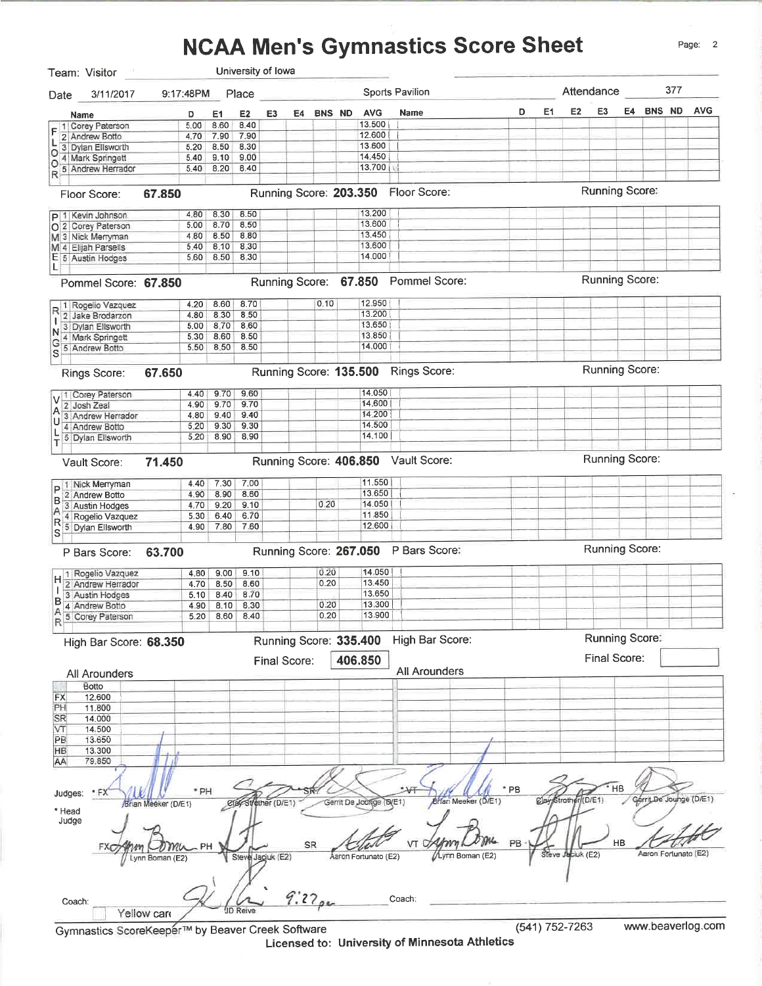#### **NCAA Men's Gymnastics Score Sheet**



Gymnastics ScoreKeeper™ by Beaver Creek Software

Licensed to: University of Minnesota Athletics

www.beaverlog.com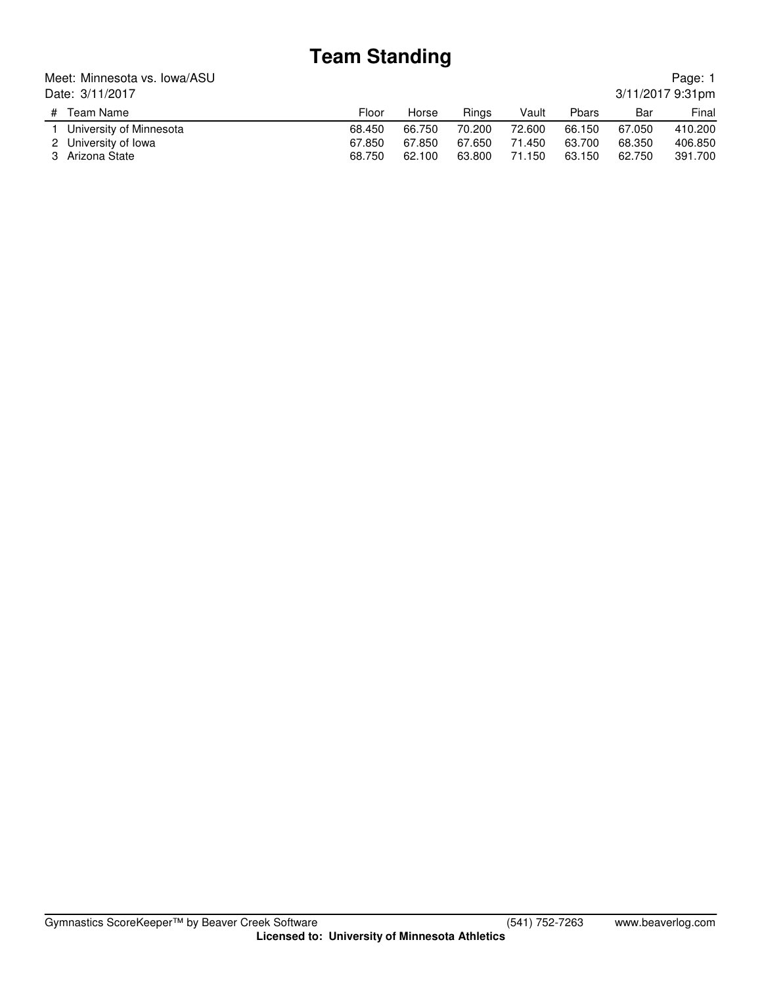### **Team Standing**

#### Meet: Minnesota vs. Iowa/ASU Date: 3/11/2017

| Date: 3/11/2017         |        |        |        |        |              |        | 3/11/2017 9:31pm |
|-------------------------|--------|--------|--------|--------|--------------|--------|------------------|
| # Team Name             | Floor  | Horse  | Rings  | Vault  | <b>Phars</b> | Bar    | Final            |
| University of Minnesota | 68.450 | 66.750 | 70.200 | 72.600 | 66.150       | 67.050 | 410.200          |
| 2 University of Iowa    | 67.850 | 67.850 | 67.650 | 71.450 | 63.700       | 68,350 | 406.850          |
| 3 Arizona State         | 68.750 | 62.100 | 63.800 | 71.150 | 63.150       | 62.750 | 391.700          |

Page: 1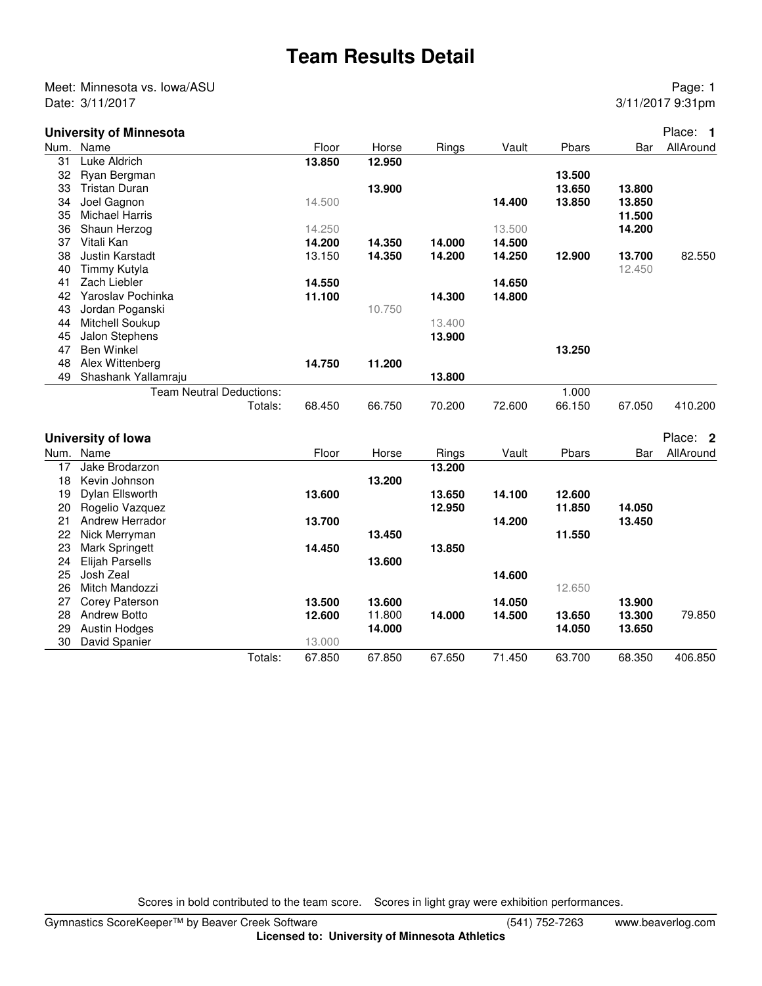### **Team Results Detail**

Meet: Minnesota vs. Iowa/ASU **Page: 1** Date: 3/11/2017 9:31pm

#### **University of Minnesota** Place: **1**

|    | Num. Name                |         | Floor  | Horse  | Rings  | Vault  | Pbars  | Bar    | AllAround |
|----|--------------------------|---------|--------|--------|--------|--------|--------|--------|-----------|
| 31 | Luke Aldrich             |         | 13.850 | 12.950 |        |        |        |        |           |
| 32 | Ryan Bergman             |         |        |        |        |        | 13.500 |        |           |
| 33 | <b>Tristan Duran</b>     |         |        | 13.900 |        |        | 13.650 | 13.800 |           |
| 34 | Joel Gagnon              |         | 14.500 |        |        | 14.400 | 13.850 | 13.850 |           |
| 35 | <b>Michael Harris</b>    |         |        |        |        |        |        | 11.500 |           |
| 36 | Shaun Herzog             |         | 14.250 |        |        | 13.500 |        | 14.200 |           |
| 37 | Vitali Kan               |         | 14.200 | 14.350 | 14.000 | 14.500 |        |        |           |
| 38 | Justin Karstadt          |         | 13.150 | 14.350 | 14.200 | 14.250 | 12.900 | 13.700 | 82.550    |
| 40 | Timmy Kutyla             |         |        |        |        |        |        | 12.450 |           |
| 41 | Zach Liebler             |         | 14.550 |        |        | 14.650 |        |        |           |
| 42 | Yaroslav Pochinka        |         | 11.100 |        | 14.300 | 14.800 |        |        |           |
| 43 | Jordan Poganski          |         |        | 10.750 |        |        |        |        |           |
| 44 | Mitchell Soukup          |         |        |        | 13.400 |        |        |        |           |
| 45 | Jalon Stephens           |         |        |        | 13.900 |        |        |        |           |
| 47 | <b>Ben Winkel</b>        |         |        |        |        |        | 13.250 |        |           |
| 48 | Alex Wittenberg          |         | 14.750 | 11.200 |        |        |        |        |           |
| 49 | Shashank Yallamraju      |         |        |        | 13.800 |        |        |        |           |
|    | Team Neutral Deductions: |         |        |        |        |        | 1.000  |        |           |
|    |                          | Totals: | 68.450 | 66.750 | 70.200 | 72.600 | 66.150 | 67.050 | 410.200   |
|    |                          |         |        |        |        |        |        |        |           |
|    |                          |         |        |        |        |        |        |        |           |
|    | University of Iowa       |         |        |        |        |        |        |        | Place: 2  |
|    | Num. Name                |         | Floor  | Horse  | Rings  | Vault  | Pbars  | Bar    | AllAround |
| 17 | Jake Brodarzon           |         |        |        | 13.200 |        |        |        |           |
| 18 | Kevin Johnson            |         |        | 13.200 |        |        |        |        |           |
| 19 | Dylan Ellsworth          |         | 13.600 |        | 13.650 | 14.100 | 12,600 |        |           |
| 20 | Rogelio Vazquez          |         |        |        | 12.950 |        | 11.850 | 14.050 |           |
| 21 | Andrew Herrador          |         | 13.700 |        |        | 14.200 |        | 13.450 |           |
| 22 | Nick Merryman            |         |        | 13.450 |        |        | 11.550 |        |           |
| 23 | Mark Springett           |         | 14.450 |        | 13.850 |        |        |        |           |
| 24 | <b>Elijah Parsells</b>   |         |        | 13.600 |        |        |        |        |           |
| 25 | Josh Zeal                |         |        |        |        | 14.600 |        |        |           |
| 26 | Mitch Mandozzi           |         |        |        |        |        | 12.650 |        |           |
| 27 | Corey Paterson           |         | 13.500 | 13.600 |        | 14.050 |        | 13.900 |           |
| 28 | <b>Andrew Botto</b>      |         | 12.600 | 11.800 | 14.000 | 14.500 | 13.650 | 13.300 | 79.850    |
| 29 | Austin Hodges            |         |        | 14.000 |        |        | 14.050 | 13.650 |           |
| 30 | David Spanier            |         | 13.000 |        |        |        |        |        |           |
|    |                          | Totals: | 67.850 | 67.850 | 67.650 | 71.450 | 63.700 | 68.350 | 406.850   |
|    |                          |         |        |        |        |        |        |        |           |

Scores in bold contributed to the team score. Scores in light gray were exhibition performances.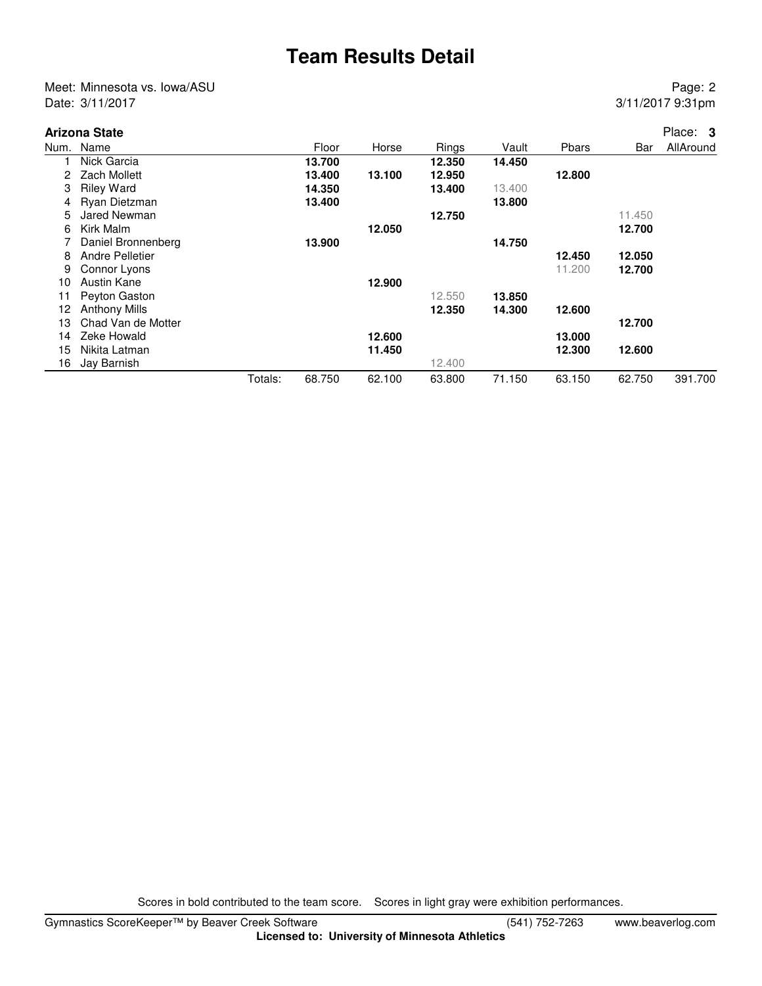### **Team Results Detail**

Meet: Minnesota vs. Iowa/ASU Page: 2 Date: 3/11/2017 9:31pm

|      | Arizona State        |         |        |        |        |        |        |        | Place: 3  |
|------|----------------------|---------|--------|--------|--------|--------|--------|--------|-----------|
| Num. | Name                 |         | Floor  | Horse  | Rings  | Vault  | Pbars  | Bar    | AllAround |
|      | Nick Garcia          |         | 13.700 |        | 12.350 | 14.450 |        |        |           |
| 2    | Zach Mollett         |         | 13.400 | 13.100 | 12.950 |        | 12.800 |        |           |
| 3    | <b>Riley Ward</b>    |         | 14.350 |        | 13.400 | 13.400 |        |        |           |
| 4    | Ryan Dietzman        |         | 13.400 |        |        | 13.800 |        |        |           |
| 5    | Jared Newman         |         |        |        | 12.750 |        |        | 11.450 |           |
| 6    | Kirk Malm            |         |        | 12.050 |        |        |        | 12.700 |           |
|      | Daniel Bronnenberg   |         | 13.900 |        |        | 14.750 |        |        |           |
| 8    | Andre Pelletier      |         |        |        |        |        | 12.450 | 12.050 |           |
| 9    | Connor Lyons         |         |        |        |        |        | 11.200 | 12.700 |           |
| 10   | Austin Kane          |         |        | 12.900 |        |        |        |        |           |
| 11   | Peyton Gaston        |         |        |        | 12.550 | 13.850 |        |        |           |
| 12   | <b>Anthony Mills</b> |         |        |        | 12.350 | 14.300 | 12.600 |        |           |
| 13   | Chad Van de Motter   |         |        |        |        |        |        | 12.700 |           |
| 14   | Zeke Howald          |         |        | 12.600 |        |        | 13.000 |        |           |
| 15   | Nikita Latman        |         |        | 11.450 |        |        | 12.300 | 12.600 |           |
| 16   | Jay Barnish          |         |        |        | 12.400 |        |        |        |           |
|      |                      | Totals: | 68.750 | 62.100 | 63.800 | 71.150 | 63.150 | 62.750 | 391.700   |

Scores in bold contributed to the team score. Scores in light gray were exhibition performances.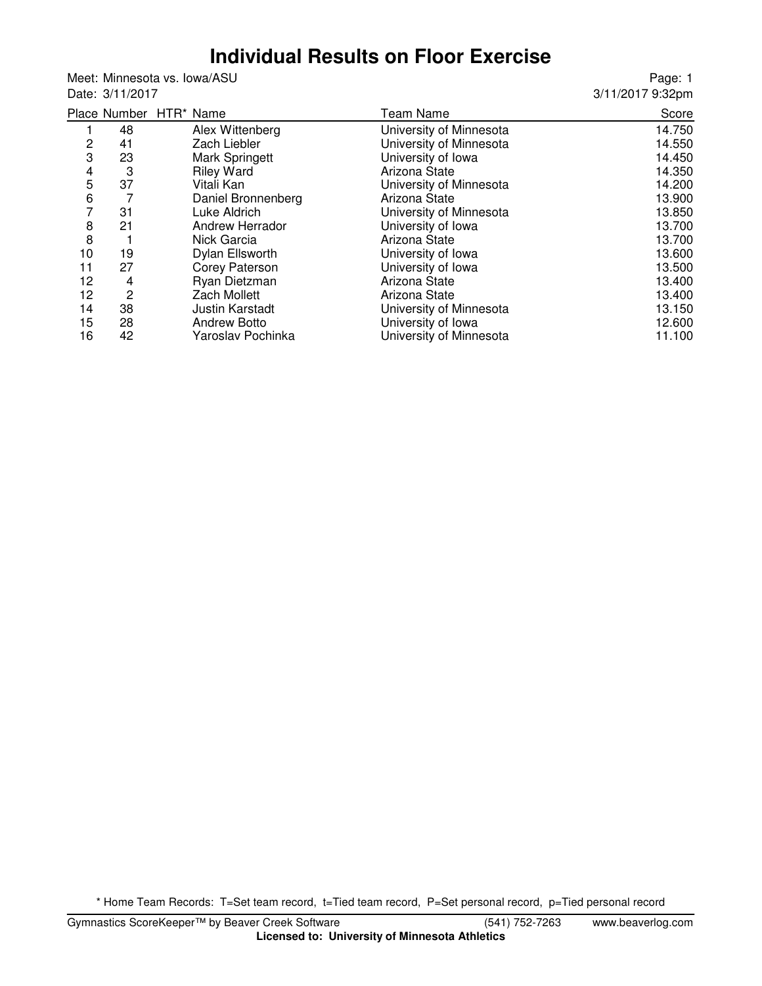### **Individual Results on Floor Exercise**

Meet: Minnesota vs. Iowa/ASU Date: 3/11/2017

Page: 1 3/11/2017 9:32pm

|    |    | Place Number HTR* Name | Team Name               | Score  |
|----|----|------------------------|-------------------------|--------|
|    | 48 | Alex Wittenberg        | University of Minnesota | 14.750 |
| 2  | 41 | Zach Liebler           | University of Minnesota | 14.550 |
| 3  | 23 | Mark Springett         | University of Iowa      | 14.450 |
| 4  | 3  | <b>Riley Ward</b>      | Arizona State           | 14.350 |
| 5  | 37 | Vitali Kan             | University of Minnesota | 14.200 |
| 6  |    | Daniel Bronnenberg     | Arizona State           | 13.900 |
| 7  | 31 | Luke Aldrich           | University of Minnesota | 13.850 |
| 8  | 21 | Andrew Herrador        | University of Iowa      | 13.700 |
| 8  |    | Nick Garcia            | Arizona State           | 13.700 |
| 10 | 19 | Dylan Ellsworth        | University of Iowa      | 13.600 |
| 11 | 27 | <b>Corey Paterson</b>  | University of Iowa      | 13.500 |
| 12 | 4  | Ryan Dietzman          | Arizona State           | 13.400 |
| 12 | 2  | <b>Zach Mollett</b>    | Arizona State           | 13.400 |
| 14 | 38 | <b>Justin Karstadt</b> | University of Minnesota | 13.150 |
| 15 | 28 | <b>Andrew Botto</b>    | University of Iowa      | 12.600 |
| 16 | 42 | Yaroslav Pochinka      | University of Minnesota | 11.100 |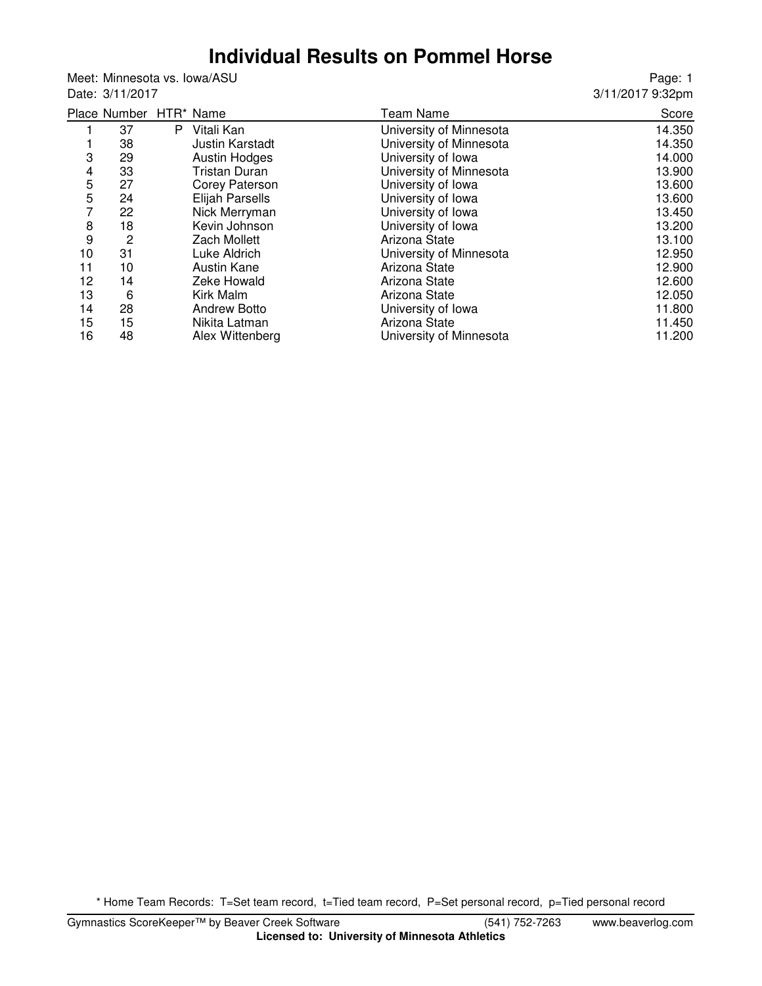# **Individual Results on Pommel Horse**

Meet: Minnesota vs. Iowa/ASU Date: 3/11/2017

Page: 1 3/11/2017 9:32pm

|    | Place Number HTR* Name |    |                        | <b>Team Name</b>        | Score  |
|----|------------------------|----|------------------------|-------------------------|--------|
|    | 37                     | P. | Vitali Kan             | University of Minnesota | 14.350 |
|    | 38                     |    | <b>Justin Karstadt</b> | University of Minnesota | 14.350 |
| 3  | 29                     |    | <b>Austin Hodges</b>   | University of Iowa      | 14.000 |
| 4  | 33                     |    | Tristan Duran          | University of Minnesota | 13.900 |
| 5  | 27                     |    | Corey Paterson         | University of Iowa      | 13.600 |
| 5  | 24                     |    | <b>Elijah Parsells</b> | University of Iowa      | 13.600 |
| 7  | 22                     |    | Nick Merryman          | University of Iowa      | 13.450 |
| 8  | 18                     |    | Kevin Johnson          | University of Iowa      | 13.200 |
| 9  | 2                      |    | <b>Zach Mollett</b>    | Arizona State           | 13.100 |
| 10 | 31                     |    | Luke Aldrich           | University of Minnesota | 12.950 |
| 11 | 10                     |    | Austin Kane            | Arizona State           | 12.900 |
| 12 | 14                     |    | Zeke Howald            | Arizona State           | 12.600 |
| 13 | 6                      |    | Kirk Malm              | Arizona State           | 12.050 |
| 14 | 28                     |    | <b>Andrew Botto</b>    | University of Iowa      | 11.800 |
| 15 | 15                     |    | Nikita Latman          | Arizona State           | 11.450 |
| 16 | 48                     |    | Alex Wittenberg        | University of Minnesota | 11.200 |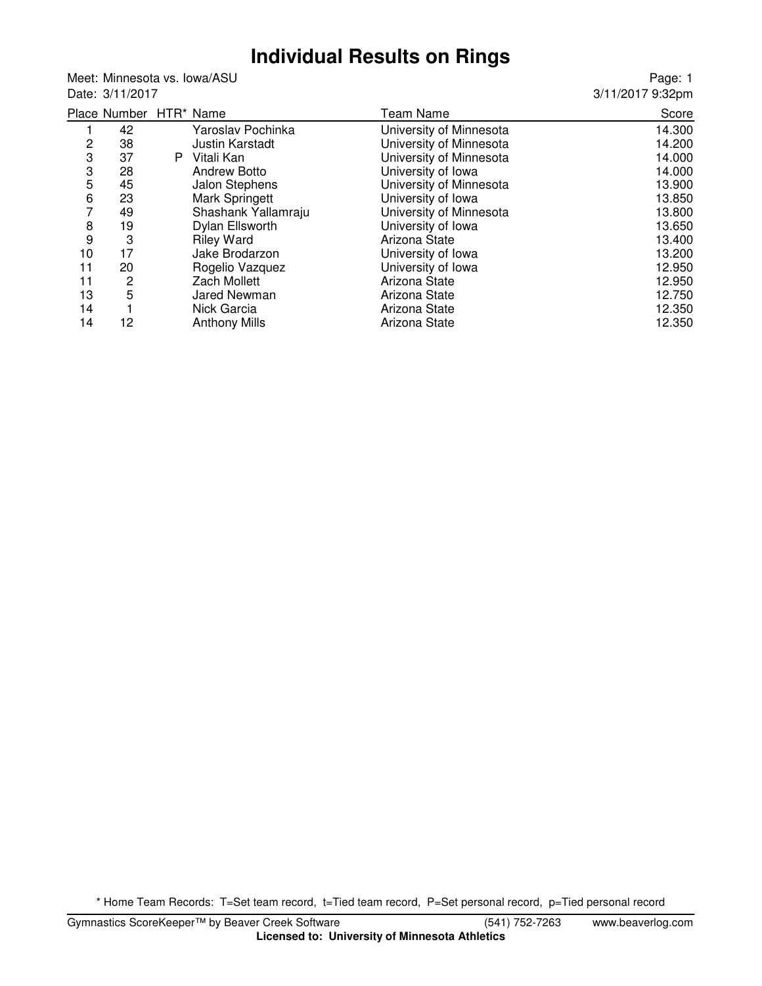#### **Individual Results on Rings**

Meet: Minnesota vs. Iowa/ASU Date: 3/11/2017

Page: 1 3/11/2017 9:32pm

|                | Place Number HTR* Name |    |                      | <b>Team Name</b>        | Score  |
|----------------|------------------------|----|----------------------|-------------------------|--------|
|                | 42                     |    | Yaroslav Pochinka    | University of Minnesota | 14.300 |
| $\overline{c}$ | 38                     |    | Justin Karstadt      | University of Minnesota | 14.200 |
| 3              | 37                     | P. | Vitali Kan           | University of Minnesota | 14.000 |
| 3              | 28                     |    | <b>Andrew Botto</b>  | University of Iowa      | 14.000 |
| 5              | 45                     |    | Jalon Stephens       | University of Minnesota | 13.900 |
| 6              | 23                     |    | Mark Springett       | University of Iowa      | 13.850 |
| 7              | 49                     |    | Shashank Yallamraju  | University of Minnesota | 13.800 |
| 8              | 19                     |    | Dylan Ellsworth      | University of Iowa      | 13.650 |
| 9              | 3                      |    | <b>Riley Ward</b>    | Arizona State           | 13.400 |
| 10             | 17                     |    | Jake Brodarzon       | University of Iowa      | 13.200 |
| 11             | 20                     |    | Rogelio Vazquez      | University of Iowa      | 12.950 |
| 11             | 2                      |    | Zach Mollett         | Arizona State           | 12.950 |
| 13             | 5                      |    | Jared Newman         | Arizona State           | 12.750 |
| 14             |                        |    | Nick Garcia          | Arizona State           | 12.350 |
| 14             | 12                     |    | <b>Anthony Mills</b> | Arizona State           | 12.350 |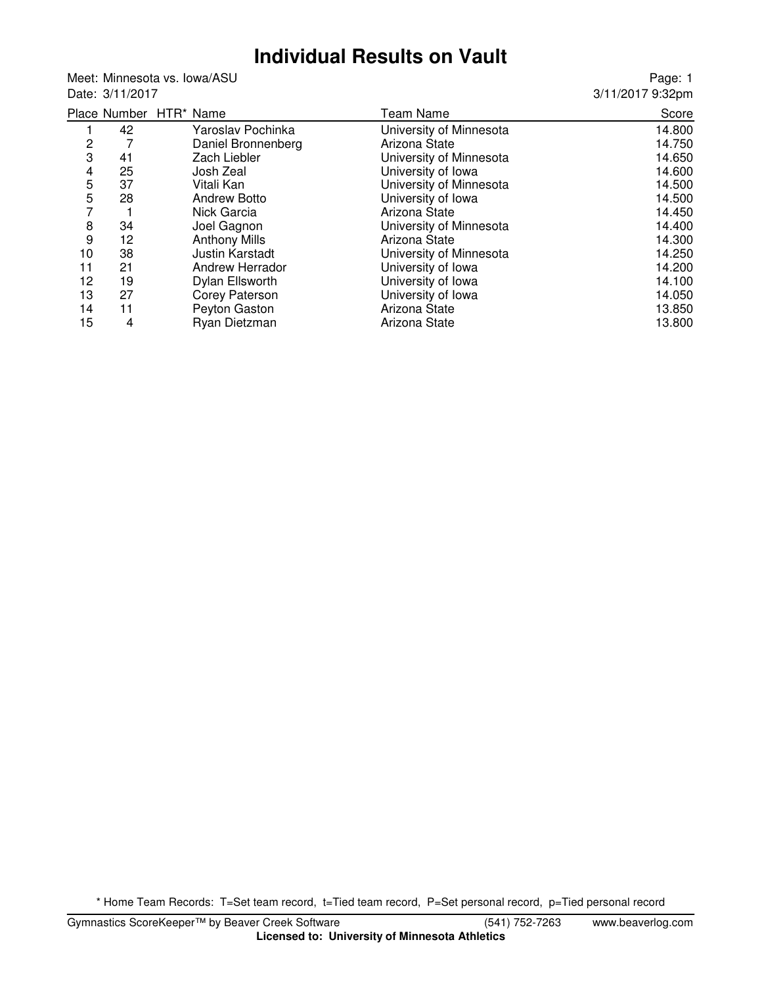## **Individual Results on Vault**

Meet: Minnesota vs. Iowa/ASU Date: 3/11/2017

Page: 1 3/11/2017 9:32pm

|            |    | Place Number HTR* Name | <b>Team Name</b>        | Score  |
|------------|----|------------------------|-------------------------|--------|
|            | 42 | Yaroslav Pochinka      | University of Minnesota | 14.800 |
| 2          |    | Daniel Bronnenberg     | Arizona State           | 14.750 |
| 3          | 41 | Zach Liebler           | University of Minnesota | 14.650 |
| 4          | 25 | Josh Zeal              | University of Iowa      | 14.600 |
| 5          | 37 | Vitali Kan             | University of Minnesota | 14.500 |
| $\sqrt{5}$ | 28 | <b>Andrew Botto</b>    | University of Iowa      | 14.500 |
| 7          |    | Nick Garcia            | Arizona State           | 14.450 |
| 8          | 34 | Joel Gagnon            | University of Minnesota | 14.400 |
| 9          | 12 | <b>Anthony Mills</b>   | Arizona State           | 14.300 |
| 10         | 38 | <b>Justin Karstadt</b> | University of Minnesota | 14.250 |
| 11         | 21 | Andrew Herrador        | University of Iowa      | 14.200 |
| 12         | 19 | Dylan Ellsworth        | University of Iowa      | 14.100 |
| 13         | 27 | Corey Paterson         | University of Iowa      | 14.050 |
| 14         | 11 | Peyton Gaston          | Arizona State           | 13.850 |
| 15         | 4  | Ryan Dietzman          | Arizona State           | 13.800 |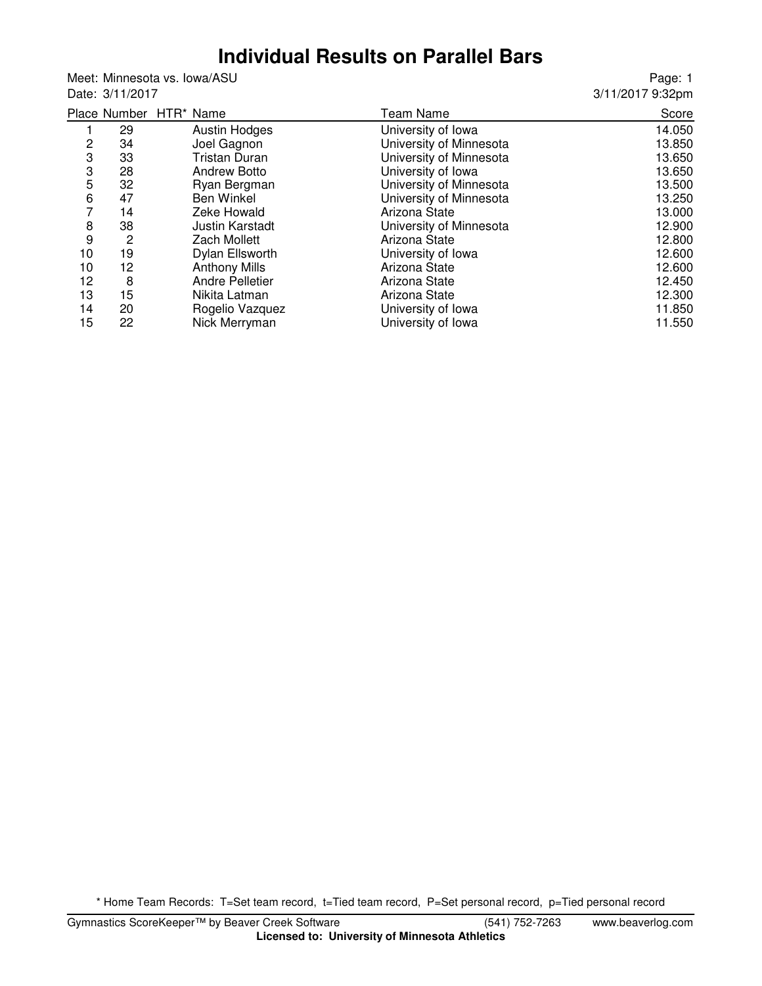#### **Individual Results on Parallel Bars**

Meet: Minnesota vs. Iowa/ASU Date: 3/11/2017

Page: 1 3/11/2017 9:32pm

|                |    | Place Number HTR* Name | Team Name               | Score  |
|----------------|----|------------------------|-------------------------|--------|
|                | 29 | <b>Austin Hodges</b>   | University of Iowa      | 14.050 |
| 2              | 34 | Joel Gagnon            | University of Minnesota | 13.850 |
| 3              | 33 | Tristan Duran          | University of Minnesota | 13.650 |
| 3              | 28 | <b>Andrew Botto</b>    | University of Iowa      | 13.650 |
| 5              | 32 | Ryan Bergman           | University of Minnesota | 13.500 |
| 6              | 47 | <b>Ben Winkel</b>      | University of Minnesota | 13.250 |
| $\overline{7}$ | 14 | Zeke Howald            | Arizona State           | 13.000 |
| 8              | 38 | <b>Justin Karstadt</b> | University of Minnesota | 12.900 |
| 9              | 2  | Zach Mollett           | Arizona State           | 12.800 |
| 10             | 19 | Dylan Ellsworth        | University of Iowa      | 12.600 |
| 10             | 12 | <b>Anthony Mills</b>   | Arizona State           | 12.600 |
| 12             | 8  | <b>Andre Pelletier</b> | Arizona State           | 12.450 |
| 13             | 15 | Nikita Latman          | Arizona State           | 12.300 |
| 14             | 20 | Rogelio Vazquez        | University of Iowa      | 11.850 |
| 15             | 22 | Nick Merryman          | University of Iowa      | 11.550 |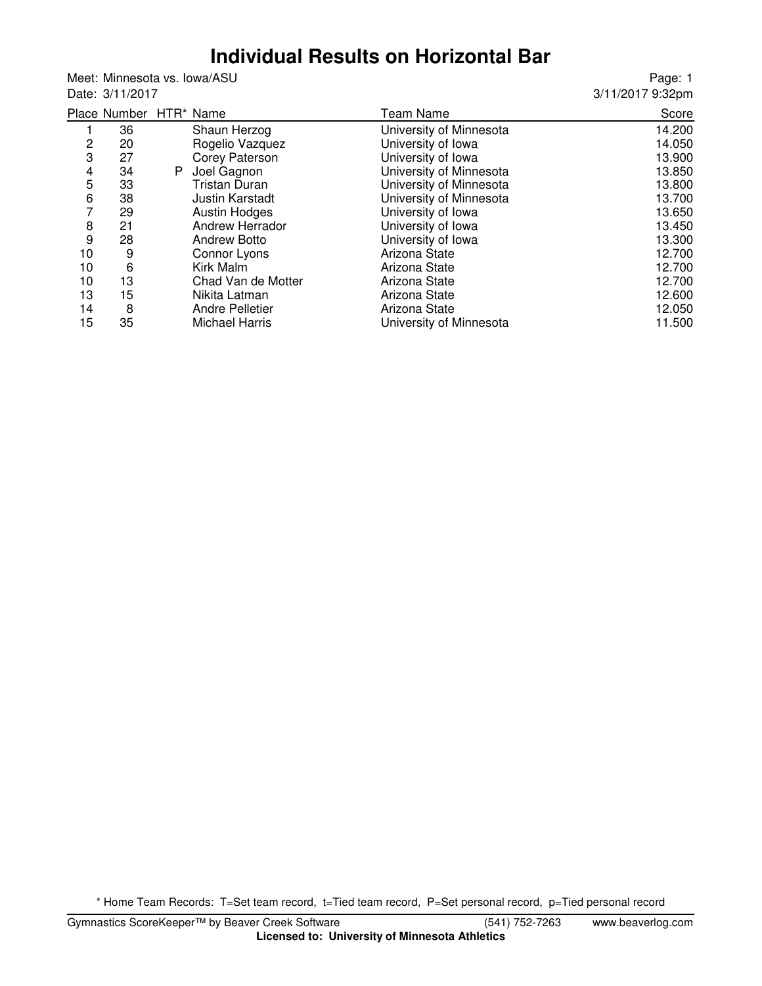# **Individual Results on Horizontal Bar**

Meet: Minnesota vs. Iowa/ASU Date: 3/11/2017

Page: 1 3/11/2017 9:32pm

|    | Place Number HTR* Name |    |                        | <b>Team Name</b>        | Score  |
|----|------------------------|----|------------------------|-------------------------|--------|
|    | 36                     |    | Shaun Herzog           | University of Minnesota | 14.200 |
| 2  | 20                     |    | Rogelio Vazquez        | University of Iowa      | 14.050 |
| 3  | 27                     |    | Corey Paterson         | University of Iowa      | 13.900 |
| 4  | 34                     | P. | Joel Gagnon            | University of Minnesota | 13.850 |
| 5  | 33                     |    | <b>Tristan Duran</b>   | University of Minnesota | 13.800 |
| 6  | 38                     |    | <b>Justin Karstadt</b> | University of Minnesota | 13.700 |
| 7  | 29                     |    | <b>Austin Hodges</b>   | University of Iowa      | 13.650 |
| 8  | 21                     |    | Andrew Herrador        | University of Iowa      | 13.450 |
| 9  | 28                     |    | <b>Andrew Botto</b>    | University of Iowa      | 13.300 |
| 10 | 9                      |    | Connor Lyons           | Arizona State           | 12.700 |
| 10 | 6                      |    | Kirk Malm              | Arizona State           | 12.700 |
| 10 | 13                     |    | Chad Van de Motter     | Arizona State           | 12.700 |
| 13 | 15                     |    | Nikita Latman          | Arizona State           | 12.600 |
| 14 | 8                      |    | <b>Andre Pelletier</b> | Arizona State           | 12.050 |
| 15 | 35                     |    | <b>Michael Harris</b>  | University of Minnesota | 11.500 |